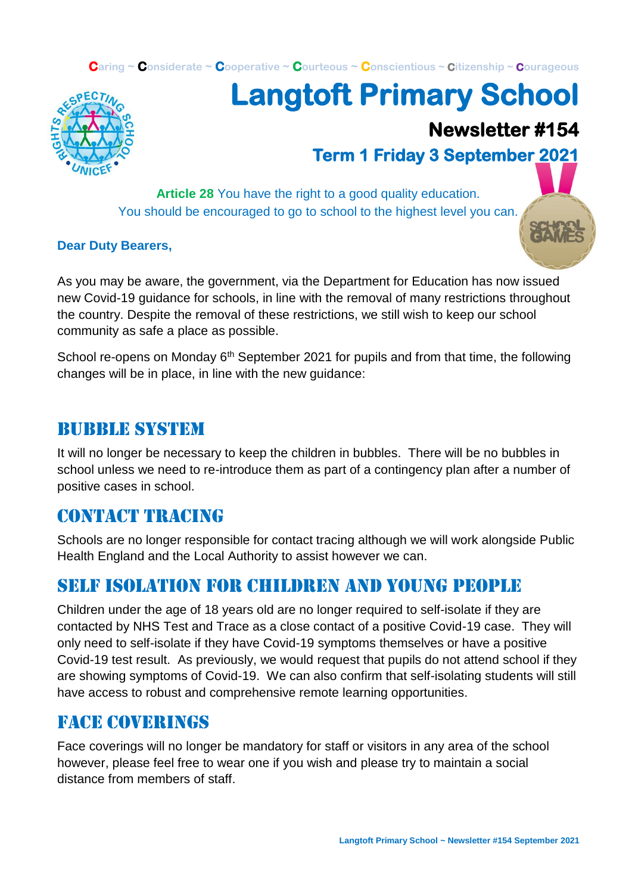**Caring ~ Considerate ~ Cooperative ~ Courteous ~ Conscientious ~ Citizenship ~ Courageous**



# **Langtoft Primary School**

## **Newsletter #154**

## **Term 1 Friday 3 September 2021**

**Article 28** You have the right to a good quality education. You should be encouraged to go to school to the highest level you can.

#### **Dear Duty Bearers,**

As you may be aware, the government, via the Department for Education has now issued new Covid-19 guidance for schools, in line with the removal of many restrictions throughout the country. Despite the removal of these restrictions, we still wish to keep our school community as safe a place as possible.

School re-opens on Monday  $6<sup>th</sup>$  September 2021 for pupils and from that time, the following changes will be in place, in line with the new guidance:

#### BUBBLE SYSTEM

It will no longer be necessary to keep the children in bubbles. There will be no bubbles in school unless we need to re-introduce them as part of a contingency plan after a number of positive cases in school.

#### CONTACT TRACING

Schools are no longer responsible for contact tracing although we will work alongside Public Health England and the Local Authority to assist however we can.

#### SELF ISOLATION FOR CHILDREN AND YOUNG PEOPLE

Children under the age of 18 years old are no longer required to self-isolate if they are contacted by NHS Test and Trace as a close contact of a positive Covid-19 case. They will only need to self-isolate if they have Covid-19 symptoms themselves or have a positive Covid-19 test result. As previously, we would request that pupils do not attend school if they are showing symptoms of Covid-19. We can also confirm that self-isolating students will still have access to robust and comprehensive remote learning opportunities.

#### FACE COVERINGS

Face coverings will no longer be mandatory for staff or visitors in any area of the school however, please feel free to wear one if you wish and please try to maintain a social distance from members of staff.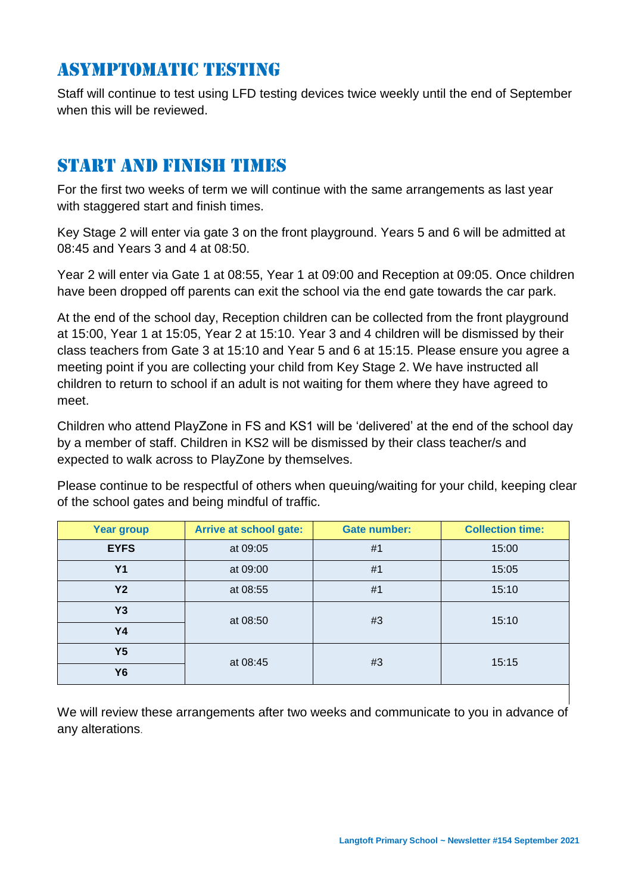### ASYMPTOMATIC TESTING

Staff will continue to test using LFD testing devices twice weekly until the end of September when this will be reviewed.

#### START AND FINISH TIMES

For the first two weeks of term we will continue with the same arrangements as last year with staggered start and finish times.

Key Stage 2 will enter via gate 3 on the front playground. Years 5 and 6 will be admitted at 08:45 and Years 3 and 4 at 08:50.

Year 2 will enter via Gate 1 at 08:55, Year 1 at 09:00 and Reception at 09:05. Once children have been dropped off parents can exit the school via the end gate towards the car park.

At the end of the school day, Reception children can be collected from the front playground at 15:00, Year 1 at 15:05, Year 2 at 15:10. Year 3 and 4 children will be dismissed by their class teachers from Gate 3 at 15:10 and Year 5 and 6 at 15:15. Please ensure you agree a meeting point if you are collecting your child from Key Stage 2. We have instructed all children to return to school if an adult is not waiting for them where they have agreed to meet.

Children who attend PlayZone in FS and KS1 will be 'delivered' at the end of the school day by a member of staff. Children in KS2 will be dismissed by their class teacher/s and expected to walk across to PlayZone by themselves.

Please continue to be respectful of others when queuing/waiting for your child, keeping clear of the school gates and being mindful of traffic.

| <b>Year group</b> | <b>Arrive at school gate:</b> | <b>Gate number:</b> | <b>Collection time:</b> |  |
|-------------------|-------------------------------|---------------------|-------------------------|--|
| <b>EYFS</b>       | at 09:05                      | #1                  | 15:00                   |  |
| <b>Y1</b>         | at 09:00                      | #1                  | 15:05                   |  |
| Y2                | at 08:55                      | #1                  | 15:10                   |  |
| Y3                | at 08:50                      | #3                  | 15:10                   |  |
| <b>Y4</b>         |                               |                     |                         |  |
| Y <sub>5</sub>    | at 08:45                      | #3                  | 15:15                   |  |
| <b>Y6</b>         |                               |                     |                         |  |

We will review these arrangements after two weeks and communicate to you in advance of any alterations.